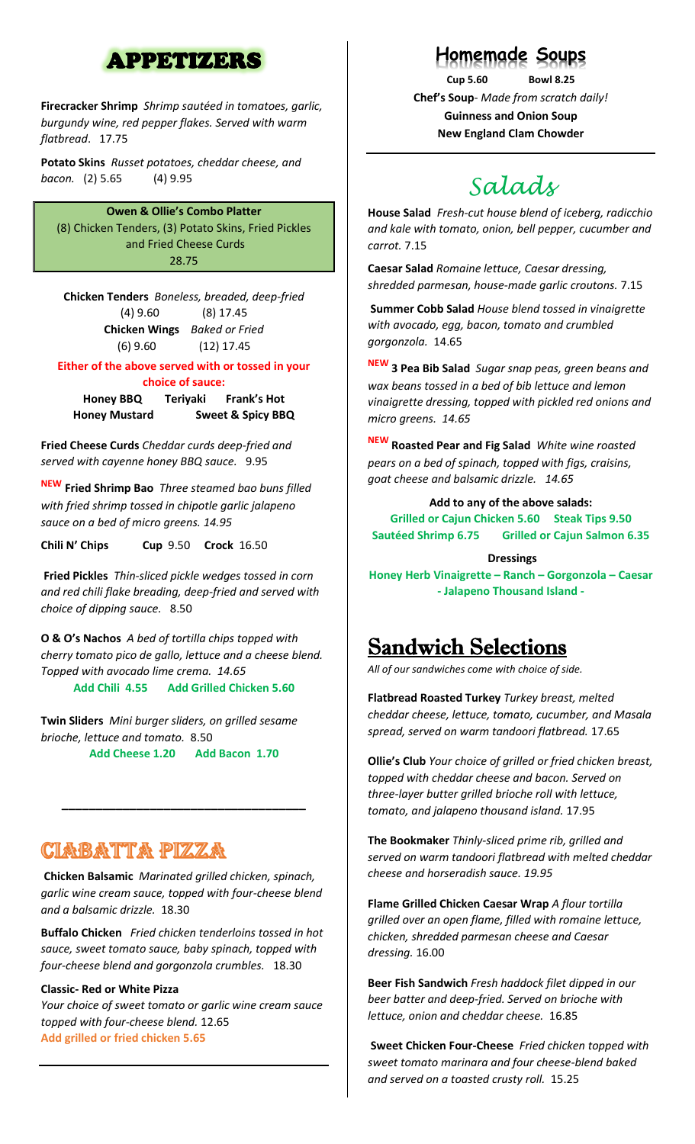### APPETIZERS

**Firecracker Shrimp** *Shrimp sautéed in tomatoes, garlic, burgundy wine, red pepper flakes. Served with warm flatbread*. 17.75

**Potato Skins** *Russet potatoes, cheddar cheese, and bacon.* (2) 5.65 (4) 9.95

**Owen & Ollie's Combo Platter** (8) Chicken Tenders, (3) Potato Skins, Fried Pickles and Fried Cheese Curds 28.75

**Chicken Tenders** *Boneless, breaded, deep-fried* (4) 9.60 (8) 17.45 **Chicken Wings** *Baked or Fried* (6) 9.60 (12) 17.45

**Either of the above served with or tossed in your** 

**choice of sauce:**

**Honey BBQ Teriyaki Frank's Hot Honey Mustard Sweet & Spicy BBQ**

**Fried Cheese Curds** *Cheddar curds deep-fried and served with cayenne honey BBQ sauce.* 9.95

**NEW Fried Shrimp Bao** *Three steamed bao buns filled with fried shrimp tossed in chipotle garlic jalapeno sauce on a bed of micro greens. 14.95*

**Chili N' Chips Cup** 9.50 **Crock** 16.50

**Fried Pickles** *Thin-sliced pickle wedges tossed in corn and red chili flake breading, deep-fried and served with choice of dipping sauce.* 8.50

**O & O's Nachos** *A bed of tortilla chips topped with cherry tomato pico de gallo, lettuce and a cheese blend. Topped with avocado lime crema. 14.65* **Add Chili 4.55 Add Grilled Chicken 5.60**

**Twin Sliders** *Mini burger sliders, on grilled sesame brioche, lettuce and tomato.* 8.50 **Add Cheese 1.20 Add Bacon 1.70**

## <u>CIABATTA PIZZA</u>

**Chicken Balsamic** *Marinated grilled chicken, spinach, garlic wine cream sauce, topped with four-cheese blend and a balsamic drizzle.* 18.30

**\_\_\_\_\_\_\_\_\_\_\_\_\_\_\_\_\_\_\_\_\_\_\_\_\_\_\_\_\_\_\_\_\_\_\_\_**

**Buffalo Chicken** *Fried chicken tenderloins tossed in hot sauce, sweet tomato sauce, baby spinach, topped with four-cheese blend and gorgonzola crumbles.* 18.30

#### **Classic- Red or White Pizza**

*Your choice of sweet tomato or garlic wine cream sauce topped with four-cheese blend.* 12.65 **Add grilled or fried chicken 5.65**

### **Homemade Soups**

**Cup 5.60 Bowl 8.25 Chef's Soup**- *Made from scratch daily!*  **Guinness and Onion Soup New England Clam Chowder**

# *Salads*

**House Salad** *Fresh-cut house blend of iceberg, radicchio and kale with tomato, onion, bell pepper, cucumber and carrot.* 7.15

**Caesar Salad** *Romaine lettuce, Caesar dressing, shredded parmesan, house-made garlic croutons.* 7.15

**Summer Cobb Salad** *House blend tossed in vinaigrette with avocado, egg, bacon, tomato and crumbled gorgonzola.* 14.65

**NEW 3 Pea Bib Salad** *Sugar snap peas, green beans and wax beans tossed in a bed of bib lettuce and lemon vinaigrette dressing, topped with pickled red onions and micro greens. 14.65*

**NEW Roasted Pear and Fig Salad** *White wine roasted pears on a bed of spinach, topped with figs, craisins, goat cheese and balsamic drizzle. 14.65*

**Add to any of the above salads: Grilled or Cajun Chicken 5.60 Steak Tips 9.50 Sautéed Shrimp 6.75 Grilled or Cajun Salmon 6.35**

**Dressings Honey Herb Vinaigrette – Ranch – Gorgonzola – Caesar - Jalapeno Thousand Island -**

# **Sandwich Selections**

*All of our sandwiches come with choice of side.* 

**Flatbread Roasted Turkey** *Turkey breast, melted cheddar cheese, lettuce, tomato, cucumber, and Masala spread, served on warm tandoori flatbread.* 17.65

**Ollie's Club** *Your choice of grilled or fried chicken breast, topped with cheddar cheese and bacon. Served on three-layer butter grilled brioche roll with lettuce, tomato, and jalapeno thousand island.* 17.95

**The Bookmaker** *Thinly-sliced prime rib, grilled and served on warm tandoori flatbread with melted cheddar cheese and horseradish sauce. 19.95*

**Flame Grilled Chicken Caesar Wrap** *A flour tortilla grilled over an open flame, filled with romaine lettuce, chicken, shredded parmesan cheese and Caesar dressing.* 16.00

**Beer Fish Sandwich** *Fresh haddock filet dipped in our beer batter and deep-fried. Served on brioche with lettuce, onion and cheddar cheese.* 16.85

**Sweet Chicken Four-Cheese** *Fried chicken topped with sweet tomato marinara and four cheese-blend baked and served on a toasted crusty roll.* 15.25